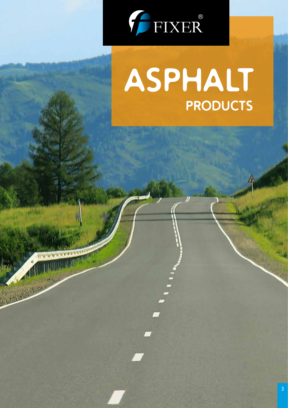

Republication

# **PRODUCTS ASPHALT**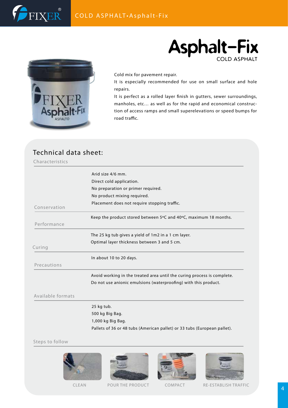## **Asphalt-Fix** COLD ASPHALT



FIXER

Cold mix for pavement repair.

It is especially recommended for use on small surface and hole repairs.

It is perfect as a rolled layer finish in gutters, sewer surroundings, manholes, etc… as well as for the rapid and economical construction of access ramps and small superelevations or speed bumps for road traffic.

### Technical data sheet:

Characteristics

|                   | Arid size 4/6 mm.                                                        |
|-------------------|--------------------------------------------------------------------------|
|                   | Direct cold application.                                                 |
|                   | No preparation or primer required.                                       |
|                   | No product mixing required.                                              |
| Conservation      | Placement does not require stopping traffic.                             |
|                   |                                                                          |
|                   | Keep the product stored between 5°C and 40°C, maximum 18 months.         |
| Performance       |                                                                          |
|                   | The 25 kg tub gives a yield of 1m2 in a 1 cm layer.                      |
|                   | Optimal layer thickness between 3 and 5 cm.                              |
| Curing            |                                                                          |
|                   | In about 10 to 20 days.                                                  |
| Precautions       |                                                                          |
|                   | Avoid working in the treated area until the curing process is complete.  |
|                   | Do not use anionic emulsions (waterproofing) with this product.          |
| Available formats |                                                                          |
|                   | 25 kg tub.                                                               |
|                   | 500 kg Big Bag.                                                          |
|                   | 1,000 kg Big Bag.                                                        |
|                   | Pallets of 36 or 48 tubs (American pallet) or 33 tubs (European pallet). |
|                   |                                                                          |

#### Steps to follow







CLEAN POUR THE PRODUCT COMPACT RE-ESTABLISH TRAFFIC

4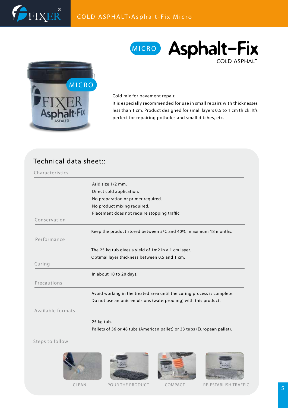



## MICRO **Asphalt-Fix** COLD ASPHALT

Cold mix for pavement repair.

It is especially recommended for use in small repairs with thicknesses less than 1 cm. Product designed for small layers 0.5 to 1 cm thick. It's perfect for repairing potholes and small ditches, etc.

#### Technical data sheet::

| Characteristics   |                                                                          |
|-------------------|--------------------------------------------------------------------------|
|                   | Arid size 1/2 mm.                                                        |
|                   | Direct cold application.                                                 |
|                   | No preparation or primer required.                                       |
|                   | No product mixing required.                                              |
|                   | Placement does not require stopping traffic.                             |
| Conservation      |                                                                          |
|                   | Keep the product stored between 5°C and 40°C, maximum 18 months.         |
| Performance       |                                                                          |
|                   | The 25 kg tub gives a yield of 1m2 in a 1 cm layer.                      |
|                   | Optimal layer thickness between 0,5 and 1 cm.                            |
| Curing            |                                                                          |
|                   | In about 10 to 20 days.                                                  |
| Precautions       |                                                                          |
|                   | Avoid working in the treated area until the curing process is complete.  |
|                   | Do not use anionic emulsions (waterproofing) with this product.          |
| Available formats |                                                                          |
|                   | 25 kg tub.                                                               |
|                   | Pallets of 36 or 48 tubs (American pallet) or 33 tubs (European pallet). |

Steps to follow







CLEAN POUR THE PRODUCT COMPACT RE-ESTABLISH TRAFFIC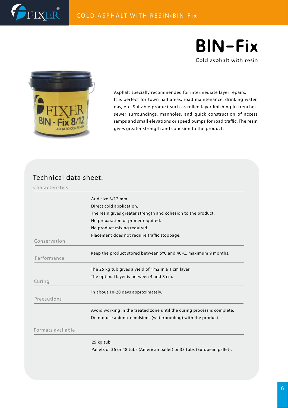



Cold asphalt with resin



Asphalt specially recommended for intermediate layer repairs. It is perfect for town hall areas, road maintenance, drinking water, gas, etc. Suitable product such as rolled layer finishing in trenches, sewer surroundings, manholes, and quick construction of access ramps and small elevations or speed bumps for road traffic. The resin gives greater strength and cohesion to the product.

#### Technical data sheet:

Characteristics

|                   | 25 kg tub.                                                                                                                                |
|-------------------|-------------------------------------------------------------------------------------------------------------------------------------------|
| Formats available |                                                                                                                                           |
|                   | Avoid working in the treated zone until the curing process is complete.<br>Do not use anionic emulsions (waterproofing) with the product. |
| Precautions       | In about 10-20 days approximately.                                                                                                        |
| Curing            | The 25 kg tub gives a yield of 1m2 in a 1 cm layer.<br>The optimal layer is between 4 and 8 cm.                                           |
| Performance       | Keep the product stored between $5^{\circ}$ C and $40^{\circ}$ C, maximum 9 months.                                                       |
| Conservation      | Placement does not require traffic stoppage.                                                                                              |
|                   | No preparation or primer required.<br>No product mixing required.                                                                         |
|                   | The resin gives greater strength and cohesion to the product.                                                                             |
|                   | Arid size 8/12 mm.<br>Direct cold application.                                                                                            |

Pallets of 36 or 48 tubs (American pallet) or 33 tubs (European pallet).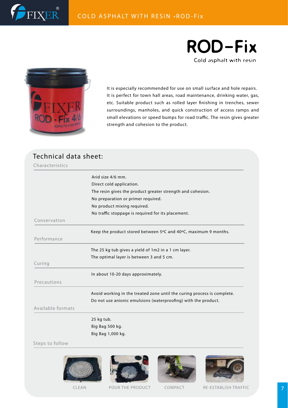

#### COLD ASPHALT WITH RESIN •ROD-Fix





It is especially recommended for use on small surface and hole repairs. It is perfect for town hall areas, road maintenance, drinking water, gas, etc. Suitable product such as rolled layer finishing in trenches, sewer surroundings, manholes, and quick construction of access ramps and small elevations or speed bumps for road traffic. The resin gives greater strength and cohesion to the product.

#### Technical data sheet:

Characteristics

|                   | Arid size 4/6 mm.                                                       |
|-------------------|-------------------------------------------------------------------------|
|                   | Direct cold application.                                                |
|                   | The resin gives the product greater strength and cohesion.              |
|                   | No preparation or primer required.                                      |
|                   | No product mixing required.                                             |
|                   | No traffic stoppage is required for its placement.                      |
| Conservation      |                                                                         |
|                   |                                                                         |
|                   | Keep the product stored between 5°C and 40°C, maximum 9 months.         |
| Performance       |                                                                         |
|                   | The 25 kg tub gives a yield of 1m2 in a 1 cm layer.                     |
|                   | The optimal layer is between 3 and 5 cm.                                |
| Curing            |                                                                         |
|                   | In about 10-20 days approximately.                                      |
| Precautions       |                                                                         |
|                   | Avoid working in the treated zone until the curing process is complete. |
|                   | Do not use anionic emulsions (waterproofing) with the product.          |
| Available formats |                                                                         |
|                   |                                                                         |
|                   | 25 kg tub.                                                              |
|                   |                                                                         |
|                   | Big Bag 500 kg.                                                         |

Steps to follow







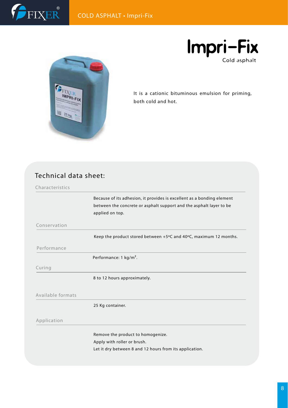



**Impri-Fix** Cold asphalt

It is a cationic bituminous emulsion for priming, both cold and hot.

#### Technical data sheet:

Characteristics

Because of its adhesion, it provides is excellent as a bonding element between the concrete or asphalt support and the asphalt layer to be applied on top.

Conservation

Keep the product stored between +5ºC and 40ºC, maximum 12 months.

Performance

Performance: 1 kg/m².

#### Curing

8 to 12 hours approximately.

#### Available formats

25 Kg container.

#### Application

Remove the product to homogenize.

Apply with roller or brush.

Let it dry between 8 and 12 hours from its application.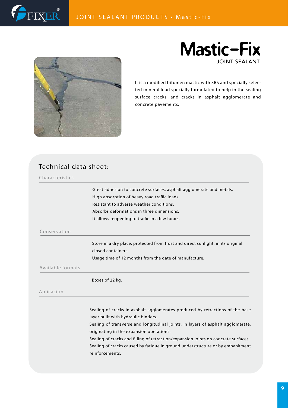





It is a modified bitumen mastic with SBS and specially selected mineral load specially formulated to help in the sealing surface cracks, and cracks in asphalt agglomerate and concrete pavements.

#### Technical data sheet:

| Great adhesion to concrete surfaces, asphalt agglomerate and metals.<br>High absorption of heavy road traffic loads.<br>Resistant to adverse weather conditions. |
|------------------------------------------------------------------------------------------------------------------------------------------------------------------|
|                                                                                                                                                                  |
|                                                                                                                                                                  |
|                                                                                                                                                                  |
| Absorbs deformations in three dimensions.                                                                                                                        |
| It allows reopening to traffic in a few hours.                                                                                                                   |
|                                                                                                                                                                  |
| Store in a dry place, protected from frost and direct sunlight, in its original                                                                                  |
| closed containers.                                                                                                                                               |
| Usage time of 12 months from the date of manufacture.                                                                                                            |
|                                                                                                                                                                  |
| Boxes of 22 kg.                                                                                                                                                  |
|                                                                                                                                                                  |
|                                                                                                                                                                  |

Sealing of transverse and longitudinal joints, in layers of asphalt agglomerate, originating in the expansion operations.

Sealing of cracks and filling of retraction/expansion joints on concrete surfaces. Sealing of cracks caused by fatigue in ground understructure or by embankment reinforcements.